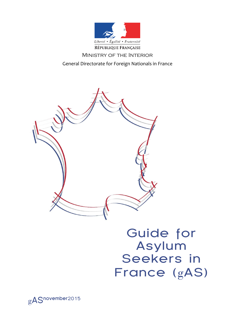

### Ministry of the Interior

General Directorate for Foreign Nationals in France



# Guide for Asylum Seekers in France (gAS)

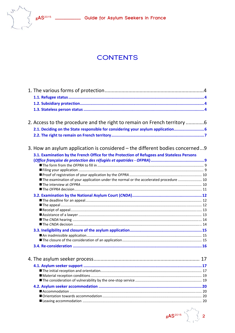

## **CONTENTS**

| 2. Access to the procedure and the right to remain on French territory 6                     |  |
|----------------------------------------------------------------------------------------------|--|
| 2.1. Deciding on the State responsible for considering your asylum application 6             |  |
|                                                                                              |  |
| 3. How an asylum application is considered – the different bodies concerned9                 |  |
| 3.1. Examination by the French Office for the Protection of Refugees and Stateless Persons   |  |
|                                                                                              |  |
|                                                                                              |  |
|                                                                                              |  |
|                                                                                              |  |
| <b>The examination of your application under the normal or the accelerated procedure  10</b> |  |
|                                                                                              |  |
|                                                                                              |  |
|                                                                                              |  |
|                                                                                              |  |
|                                                                                              |  |
|                                                                                              |  |
|                                                                                              |  |
|                                                                                              |  |
|                                                                                              |  |
|                                                                                              |  |
|                                                                                              |  |
|                                                                                              |  |
|                                                                                              |  |
|                                                                                              |  |
|                                                                                              |  |
|                                                                                              |  |
|                                                                                              |  |
|                                                                                              |  |
|                                                                                              |  |
|                                                                                              |  |
|                                                                                              |  |
|                                                                                              |  |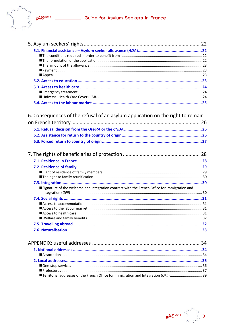

| 6. Consequences of the refusal of an asylum application on the right to remain               |  |
|----------------------------------------------------------------------------------------------|--|
|                                                                                              |  |
|                                                                                              |  |
|                                                                                              |  |
|                                                                                              |  |
|                                                                                              |  |
|                                                                                              |  |
|                                                                                              |  |
|                                                                                              |  |
|                                                                                              |  |
|                                                                                              |  |
|                                                                                              |  |
| Signature of the welcome and integration contract with the French Office for Immigration and |  |
|                                                                                              |  |
|                                                                                              |  |
|                                                                                              |  |
|                                                                                              |  |
|                                                                                              |  |
|                                                                                              |  |
|                                                                                              |  |
|                                                                                              |  |
|                                                                                              |  |
|                                                                                              |  |
|                                                                                              |  |
|                                                                                              |  |
|                                                                                              |  |
|                                                                                              |  |
| ■ Territorial addresses of the French Office for Immigration and Integration (OFII)  39      |  |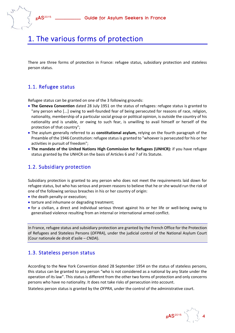

## 1. The various forms of protection

There are three forms of protection in France: refugee status, subsidiary protection and stateless person status.

## 1.1. Refugee status

Refugee status can be granted on one of the 3 following grounds:

- **The Geneva Convention** dated 28 July 1951 on the status of refugees: refugee status is granted to "any person who [...] owing to well‐founded fear of being persecuted for reasons of race, religion, nationality, membership of a particular social group or political opinion, is outside the country of his nationality and is unable, or owing to such fear, is unwilling to avail himself or herself of the protection of that country";
- The asylum generally referred to as **constitutional asylum,** relying on the fourth paragraph of the Preamble of the 1946 Constitution: refugee status is granted to "whoever is persecuted for his or her activities in pursuit of freedom";
- **The mandate of the United Nations High Commission for Refugees (UNHCR):** if you have refugee status granted by the UNHCR on the basis of Articles 6 and 7 of its Statute.

## 1.2. Subsidiary protection

Subsidiary protection is granted to any person who does not meet the requirements laid down for refugee status, but who has serious and proven reasons to believe that he or she would run the risk of one of the following serious breaches in his or her country of origin:

- the death penalty or execution;
- torture and inhumane or degrading treatment;
- for a civilian, a direct and individual serious threat against his or her life or well-being owing to generalised violence resulting from an internal or international armed conflict.

In France, refugee status and subsidiary protection are granted by the French Office for the Protection of Refugees and Stateless Persons (*OFPRA*), under the judicial control of the National Asylum Court (Cour nationale de droit d'asile – *CNDA*).

## 1.3. Stateless person status

According to the New York Convention dated 28 September 1954 on the status of stateless persons, this status can be granted to any person "who is not considered as a national by any State under the operation of its law". This status is different from the other two forms of protection and only concerns persons who have no nationality. It does not take risks of persecution into account.

Stateless person status is granted by the *OFPRA*, under the control of the administrative court.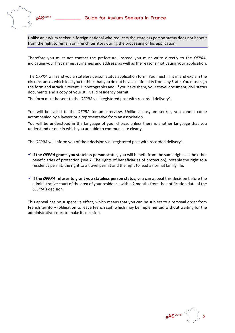

Unlike an asylum seeker, a foreign national who requests the stateless person status does not benefit from the right to remain on French territory during the processing of his application.

Therefore you must not contact the prefecture, instead you must write directly to the *OFPRA*, indicating your first names, surnames and address, as well as the reasons motivating your application.

The *OFPRA* will send you a stateless person status application form. You must fill it in and explain the circumstances which lead you to think that you do not have a nationality from any State. You mustsign the form and attach 2 recent ID photographs and, if you have them, your travel document, civil status documents and a copy of your still valid residency permit.

The form must be sent to the *OFPRA* via "registered post with recorded delivery".

You will be called to the *OFPRA* for an interview. Unlike an asylum seeker, you cannot come accompanied by a lawyer or a representative from an association.

You will be understood in the language of your choice, unless there is another language that you understand or one in which you are able to communicate clearly.

The *OFPRA* will inform you of their decision via "registered post with recorded delivery".

- **If the** *OFPRA* **grants you stateless person status,** you will benefit from the same rights as the other beneficiaries of protection (see 7. The rights of beneficiaries of protection), notably the right to a residency permit, the right to a travel permit and the right to lead a normal family life.
- **If the** *OFPRA* **refuses to grant you stateless person status,** you can appeal this decision before the administrative court of the area of your residence within 2 months from the notification date of the *OFPRA's* decision.

This appeal has no suspensive effect, which means that you can be subject to a removal order from French territory (obligation to leave French soil) which may be implemented without waiting for the administrative court to make its decision.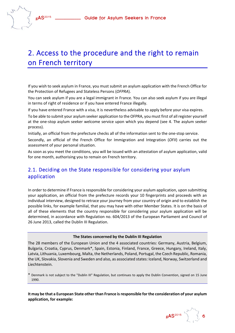## 2. Access to the procedure and the right to remain on French territory

If you wish to seek asylum in France, you must submit an asylum application with the French Office for the Protection of Refugees and Stateless Persons (*OFPRA*).

You can seek asylum if you are a legal immigrant in France. You can also seek asylum if you are illegal in terms of right of residence or if you have entered France illegally.

If you have entered France with a visa, it is nevertheless advisable to apply before your visa expires.

To be able to submit your asylum seeker application to the OFPRA, you must first of all register yourself at the one‐stop asylum seeker welcome service upon which you depend (see 4. The asylum seeker process).

Initially, an official from the prefecture checks all of the information sent to the one‐stop service.

Secondly, an official of the French Office for Immigration and Integration (*OFII*) carries out the assessment of your personal situation.

As soon as you meet the conditions, you will be issued with an attestation of asylum application, valid for one month, authorising you to remain on French territory.

## 2.1. Deciding on the State responsible for considering your asylum application

In order to determine if France is responsible for considering your asylum application, upon submitting your application, an official from the prefecture records your 10 fingerprints and proceeds with an individual interview, designed to retrace your journey from your country of origin and to establish the possible links, for example familial, that you may have with other Member States. It is on the basis of all of these elements that the country responsible for considering your asylum application will be determined, in accordance with Regulation no. 604/2013 of the European Parliament and Council of 26 June 2013, called the Dublin III Regulation.

#### **The States concerned by the Dublin III Regulation**

The 28 members of the European Union and the 4 associated countries: Germany, Austria, Belgium, Bulgaria, Croatia, Cyprus, Denmark\*, Spain, Estonia, Finland, France, Greece, Hungary, Ireland, Italy, Latvia, Lithuania, Luxembourg, Malta, the Netherlands, Poland, Portugal, the Czech Republic, Romania, the UK, Slovakia, Slovenia and Sweden and also, as associated states: Iceland, Norway, Switzerland and Liechtenstein.

\* Denmark is not subject to the "Dublin III" Regulation, but continues to apply the Dublin Convention, signed on 15 June 1990.

**It may be that a European State other than France isresponsible for the consideration of your asylum application, for example:**

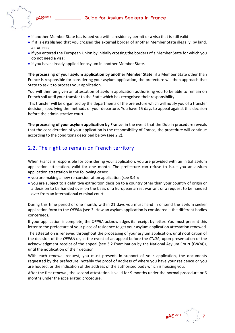- - if another Member State has issued you with a residency permit or a visa that is still valid
	- if it is established that you crossed the external border of another Member State illegally, by land, air or sea;
	- if you entered the European Union by initially crossing the borders of a Member State for which you do not need a visa;
	- if you have already applied for asylum in another Member State.

**The processing of your asylum application by another Member State**: if a Member State other than France is responsible for considering your asylum application, the prefecture will then approach that State to ask it to process your application.

You will then be given an attestation of asylum application authorising you to be able to remain on French soil until your transfer to the State which has recognised their responsibility.

This transfer will be organised by the departments of the prefecture which will notify you of a transfer decision, specifying the methods of your departure. You have 15 days to appeal against this decision before the administrative court.

**The processing of your asylum application by France**: in the event that the Dublin procedure reveals that the consideration of your application is the responsibility of France, the procedure will continue according to the conditions described below (see 2.2).

## 2.2. The right to remain on French territory

When France is responsible for considering your application, you are provided with an initial asylum application attestation, valid for one month. The prefecture can refuse to issue you an asylum application attestation in the following cases:

- you are making a new re-consideration application (see 3.4.);
- you are subject to a definitive extradition decision to a country other than your country of origin or a decision to be handed over on the basis of a European arrest warrant or a request to be handed over from an international criminal court.

During this time period of one month, within 21 days you must hand in or send the asylum seeker application form to the *OFPRA* (see 3. How an asylum application is considered – the different bodies concerned).

If your application is complete, the *OFPRA* acknowledges its receipt by letter. You must present this letter to the prefecture of your place of residence to get your asylum application attestation renewed.

The attestation is renewed throughout the processing of your asylum application, until notification of the decision of the *OFPRA* or, in the event of an appeal before the *CNDA*, upon presentation of the acknowledgment receipt of the appeal (see 3.2 Examination by the National Asylum Court (*CNDA*)), until the notification of their decision.

With each renewal request, you must present, in support of your application, the documents requested by the prefecture, notably the proof of address of where you have your residence or you are housed, or the indication of the address of the authorised body which is housing you.

After the first renewal, the second attestation is valid for 9 months under the normal procedure or 6 months under the accelerated procedure.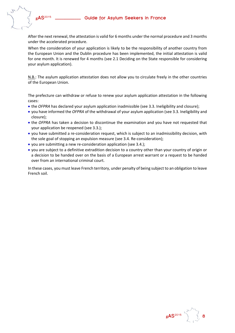

After the next renewal, the attestation is valid for 6 months under the normal procedure and 3 months under the accelerated procedure.

When the consideration of your application is likely to be the responsibility of another country from the European Union and the Dublin procedure has been implemented, the initial attestation is valid for one month. It is renewed for 4 months (see 2.1 Deciding on the State responsible for considering your asylum application).

N.B.: The asylum application attestation does not allow you to circulate freely in the other countries of the European Union.

The prefecture can withdraw or refuse to renew your asylum application attestation in the following cases:

- the *OFPRA* has declared your asylum application inadmissible (see 3.3. Ineligibility and closure);
- you have informed the *OFPRA* of the withdrawal of your asylum application (see 3.3. Ineligibility and closure);
- the *OFPRA* has taken a decision to discontinue the examination and you have not requested that your application be reopened (see 3.3.);
- you have submitted a re-consideration request, which is subject to an inadmissibility decision, with the sole goal of stopping an expulsion measure (see 3.4. Re‐consideration);
- you are submitting a new re‐consideration application (see 3.4.);
- you are subject to a definitive extradition decision to a country other than your country of origin or a decision to be handed over on the basis of a European arrest warrant or a request to be handed over from an international criminal court.

In these cases, you must leave French territory, under penalty of being subject to an obligation to leave French soil.

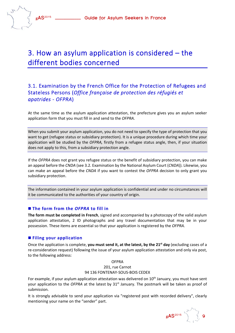## 3. How an asylum application is considered – the different bodies concerned

## 3.1. Examination by the French Office for the Protection of Refugees and Stateless Persons (*Office française de protection des réfugiés et apatrides ‐ OFPRA*)

At the same time as the asylum application attestation, the prefecture gives you an asylum seeker application form that you must fill in and send to the *OFPRA*.

When you submit your asylum application, you do not need to specify the type of protection that you want to get (refugee status or subsidiary protection). It is a unique procedure during which time your application will be studied by the *OFPRA,* firstly from a refugee status angle, then, if your situation does not apply to this, from a subsidiary protection angle.

If the *OFPRA* does not grant you refugee status or the benefit of subsidiary protection, you can make an appeal before the *CNDA* (see 3.2. Examination by the National Asylum Court (*CNDA*)). Likewise, you can make an appeal before the *CNDA* if you want to contest the *OFPRA* decision to only grant you subsidiary protection.

The information contained in your asylum application is confidential and under no circumstances will it be communicated to the authorities of your country of origin.

#### **The form from the** *OFPRA* **to fill in**

**The form must be completed in French**, signed and accompanied by a photocopy of the valid asylum application attestation, 2 ID photographs and any travel documentation that may be in your possession. These items are essential so that your application is registered by the *OFPRA*.

#### **Filing your application**

Once the application is complete, **you must send it, at the latest, by the 21st day** (excluding cases of a re-consideration request) following the issue of your asylum application attestation and only via post, to the following address:

> OFPRA 201, rue Carnot 94 136 FONTENAY‐SOUS‐BOIS CEDEX

For example, if your asylum application attestation was delivered on 10<sup>th</sup> January, you must have sent your application to the *OFPRA* at the latest by 31<sup>st</sup> January. The postmark will be taken as proof of submission.

It is strongly advisable to send your application via "registered post with recorded delivery", clearly mentioning your name on the "sender" part.

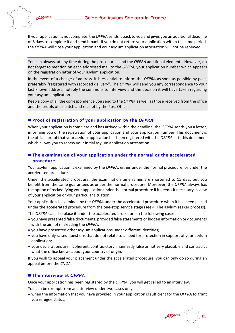

If your application is not complete, the *OFPRA* sendsit back to you and gives you an additional deadline of 8 days to complete it and send it back. If you do not return your application within this time period, the *OFPRA* will close your application and your asylum application attestation will not be renewed.

You can always, at any time during the procedure, send the *OFPRA* additional elements. However, do not forget to mention on each addressed mail to the *OFPRA*, your application number which appears on the registration letter of your asylum application.

In the event of a change of address, it is essential to inform the *OFPRA* as soon as possible by post, preferably "registered with recorded delivery". The *OFPRA* will send you any correspondence to your last known address, notably the summons to interview and the decision it will have taken regarding your asylum application.

Keep a copy of all the correspondence you send to the *OFPRA* as well as those received from the office and the proofs of dispatch and receipt by the Post Office.

#### **Proof of registration of your application by the** *OFPRA*

When your application is complete and has arrived within the deadline, the *OFPRA* sends you a letter, informing you of the registration of your application and your application number. This document is the official proof that your asylum application has been registered with the *OFPRA*. It is this document which allows you to renew your initial asylum application attestation.

#### **The examination of your application under the normal or the accelerated procedure**

Your asylum application is examined by the *OFPRA*, either under the normal procedure, or under the accelerated procedure.

Under the accelerated procedure, the examination timeframes are shortened to 15 days but you benefit from the same guarantees as under the normal procedure. Moreover, the *OFPRA* always has the option of reclassifying your application under the normal procedure if it deemsit necessary in view of your application or your particular situation.

Your application is examined by the *OFPRA* under the accelerated procedure when it has been placed under the accelerated procedure from the one‐stop service stage (see 4. The asylum seeker process).

The *OFPRA* can also place it under the accelerated procedure in the following cases:

- you have presented false documents, provided false statements or hidden information or documents with the aim of misleading the *OFPRA*;
- you have presented other asylum applications under different identities;
- you have only raised questions that do not relate to a need for protection in support of your asylum application;
- your declarations are incoherent, contradictory, manifestly false or not very plausible and contradict what the office knows about your country of origin.

If you wish to appeal your placement under the accelerated procedure, you can only do so during an appeal before the *CNDA*.

#### **The interview at** *OFPRA*

Once your application has been registered by the *OFPRA*, you will get called to an interview.

You can be exempt from an interview under two cases only:

 when the information that you have provided in your application is sufficient for the *OFPRA* to grant you refugee status;

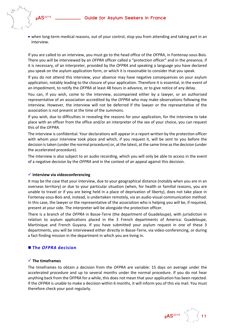

 when long‐term medical reasons, out of your control, stop you from attending and taking part in an interview.

If you are called to an interview, you must go to the head office of the OFPRA, in Fontenay-sous-Bois. There you will be interviewed by an *OFPRA* officer called a "protection officer" and in the presence, if it is necessary, of an interpreter, provided by the *OFPRA* and speaking a language you have declared you speak on the asylum application form, or which it is reasonable to consider that you speak.

If you do not attend this interview, your absence may have negative consequences on your asylum application, notably leading to the closure of your application. Therefore it is essential, in the event of an impediment, to notify the *OFPRA* at least 48 hours in advance, or to give notice of any delay.

You can, if you wish, come to the interview, accompanied either by a lawyer, or an authorised representative of an association accredited by the *OFPRA* who may make observations following the interview. However, the interview will not be deferred if the lawyer or the representative of the association is not present at the time of the summons.

If you wish, due to difficulties in revealing the reasons for your application, for the interview to take place with an officer from the office and/or an interpreter of the sex of your choice, you can request this of the *OFPRA*.

The interview is confidential. Your declarations will appear in a report written by the protection officer with whom your interview took place and which, if you request it, will be sent to you before the decision is taken (under the normal procedure) or, at the latest, at the same time as the decision (under the accelerated procedure).

The interview is also subject to an audio recording, which you will only be able to access in the event of a negative decision by the *OFPRA* and in the context of an appeal against this decision.

#### **Interview via videoconferencing**

It may be the case that your interview, due to your geographical distance (notably when you are in an overseas territory) or due to your particular situation (when, for health or familial reasons, you are unable to travel or if you are being held in a place of deprivation of liberty), does not take place in Fontenay‐sous‐Bois and, instead, is undertaken remotely, via an audio‐visual communication method. In this case, the lawyer or the representative of the association who is helping you will be, if required, present at your side. The interpreter will be alongside the protection officer.

There is a branch of the *OFPRA* in Basse-Terre (the department of Guadeloupe), with jurisdiction in relation to asylum applications placed in the 3 French departments of America: Guadeloupe, Martinique and French Guyana. If you have submitted your asylum request in one of these 3 departments, you will be interviewed either directly in Basse‐Terre, via video‐conferencing, or during a fact finding mission in the department in which you are living in.

#### **The** *OFPRA* **decision**

#### **The timeframes**

The timeframes to obtain a decision from the *OFPRA* are variable: 15 days on average under the accelerated procedure and up to several months under the normal procedure. If you do not hear anything back from the OFPRA for a while, this does not mean that your application has been rejected. If the *OFPRA* is unable to make a decision within 6 months, it will inform you of this via mail. You must therefore check your post regularly.

 **gAS**<sup>2015</sup> **11**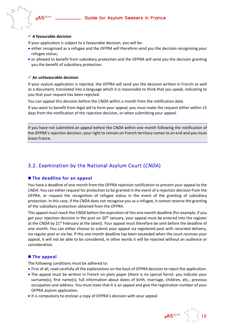

#### **A favourable decision**

If your application is subject to a favourable decision, you will be:

- either recognised as a refugee and the *OFPRA* will therefore send you the decision recognising your refugee status;
- or allowed to benefit from subsidiary protection and the OFPRA will send you the decision granting you the benefit of subsidiary protection.

#### **An unfavourable decision**

If your asylum application is rejected, the *OFPRA* will send you the decision written in French as well as a document, translated into a language which it is reasonable to think that you speak, indicating to you that your request has been rejected.

You can appeal this decision before the *CNDA* within a month from the notification date.

If you want to benefit from legal aid to form your appeal, you must make the request either within 15 days from the notification of the rejection decision, or when submitting your appeal.

If you have not submitted an appeal before the *CNDA* within one month following the notification of the *OFPRA*'s rejection decision, your right to remain on French territory comes to an end and you must leave France.

## 3.2. Examination by the National Asylum Court (*CNDA*)

#### **The deadline for an appeal**

You have a deadline of one month from the OFPRA rejection notification to present your appeal to the *CNDA*. You can either request for protection to be granted in the event of a rejection decision from the OFPRA, or request the recognition of refugee status in the event of the granting of subsidiary protection. In this case, if the *CNDA* does not recognise you as a refugee, it cannot reverse the granting of the subsidiary protection obtained from the *OFPRA*.

This appeal must reach the *CNDA* before the expiration of this one month deadline (for example, if you get your rejection decision in the post on 20<sup>th</sup> January, your appeal must be entered into the register at the *CNDA* by 21<sup>st</sup> February at the latest). Your appeal must therefore be sent before the deadline of one month. You can either choose to submit your appeal via registered post with recorded delivery, via regular post or via fax. If this one month deadline has been exceeded when the court receives your appeal, it will not be able to be considered, in other words it will be rejected without an audience or consideration.

#### **The appeal**

The following conditions must be adhered to:

- First of all, read carefully all the explanations on the back of *OFPRA* decision to reject the application.
- The appeal must be written in French on plain paper (there is no special form): you indicate your surname(s), first name(s), full information about dates of birth, marriage, children, etc., previous occupation and address. You must state that it is an appeal and give the registration number of your OFPRA asylum application.
- It is compulsory to enclose a copy of OFPRA's decision with your appeal.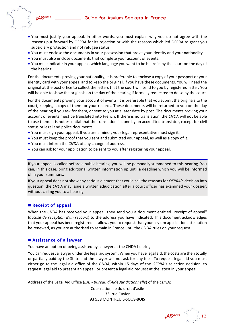

- You must justify your appeal. In other words, you must explain why you do not agree with the reasons put forward by OFPRA for its rejection or with the reasons which led OFPRA to grant you subsidiary protection and not refugee status.
- You must enclose the documents in your possession that prove your identity and your nationality.
- You must also enclose documents that complete your account of events.
- You must indicate in your appeal, which language you want to be heard in by the court on the day of the hearing.

For the documents proving your nationality, it is preferable to enclose a copy of your passport or your identity card with your appeal and to keep the original, if you have these documents. You will need the original at the post office to collect the letters that the court will send to you by registered letter. You will be able to show the originals on the day of the hearing if formally requested to do so by the court.

For the documents proving your account of events, it is preferable that you submit the originals to the court, keeping a copy of them for your records. These documents will be returned to you on the day of the hearing if you ask for them, or sent to you at a later date by post. The documents proving your account of events must be translated into French. If there is no translation, the *CNDA* will not be able to use them. It is not essential that the translation is done by an accredited translator, except for civil status or legal and police documents.

- You must sign your appeal. If you are a minor, your legal representative must sign it.
- You must keep the proof that you sent and submitted your appeal, as well as a copy of it.
- You must inform the *CNDA* of any change of address.
- You can ask for your application to be sent to you after registering your appeal.

If your appeal is called before a public hearing, you will be personally summoned to this hearing. You can, in this case, bring additional written information up until a deadline which you will be informed of in your summons.

If your appeal does not show any serious element that could call the reasons for *OFPRA*'s decision into question, the *CNDA* may issue a written adjudication after a court officer has examined your dossier, without calling you to a hearing.

#### **Receipt of appeal**

When the *CNDA* has received your appeal, they send you a document entitled "receipt of appeal" (*accusé de réception d'un recours*) to the address you have indicated. This document acknowledges that your appeal has been registered. It allows you to request that your asylum application attestation be renewed, as you are authorised to remain in France until the *CNDA* rules on your request.

#### **Assistance of a lawyer**

You have an option of being assisted by a lawyer at the CNDA hearing.

You can request a lawyer under the legal aid system. When you have legal aid, the costs are then totally or partially paid by the State and the lawyer will not ask for any fees. To request legal aid you must either go to the legal aid office of the *CNDA*, within 15 days of the *OFPRA*'s rejection decision, to request legal aid to present an appeal, or present a legal aid request at the latest in your appeal.

Address of the Legal Aid Office (*BAJ ‐ Bureau d'Aide Juridictionnelle*) of the *CDNA*:

Cour nationale du droit d'asile 35, rue Cuvier 93 558 MONTREUIL‐SOUS‐BOIS

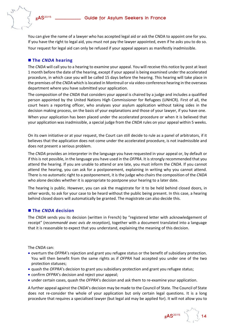You can give the name of a lawyer who has accepted legal aid or ask the CNDA to appoint one for you. If you have the right to legal aid, you must not pay the lawyer appointed, even if he asks you to do so. Your request for legal aid can only be refused if your appeal appears as manifestly inadmissible.

#### **The** *CNDA* **hearing**

The *CNDA* will call you to a hearing to examine your appeal. You will receive this notice by post at least 1 month before the date of the hearing, except if your appeal is being examined under the accelerated procedure, in which case you will be called 15 days before the hearing. This hearing will take place in the premises of the *CNDA* which islocated in Montreuil or via video‐conference hearing in the overseas department where you have submitted your application.

The composition of the *CNDA* that considers your appeal is chaired by a judge and includes a qualified person appointed by the United Nations High Commissioner for Refugees (UNHCR). First of all, the court hears a reporting officer, who analyses your asylum application without taking sides in the decision making process, on the basis of your explanations and those of your lawyer, if you have one.

When your application has been placed under the accelerated procedure or when it is believed that your application was inadmissible, a special judge from the *CNDA* rules on your appeal within 5 weeks.

On its own initiative or at your request, the Court can still decide to rule as a panel of arbitrators, if it believes that the application does not come under the accelerated procedure, is not inadmissible and does not present a serious problem.

The *CNDA* provides an interpreter in the language you have requested in your appeal or, by default or if this is not possible, in the language you have used in the *OFPRA*. It is strongly recommended that you attend the hearing. If you are unable to attend or are late, you must inform the *CNDA*. If you cannot attend the hearing, you can ask for a postponement, explaining in writing why you cannot attend. There is no automatic right to a postponement, it is the judge who chairs the composition of the *CNDA* who alone decides whether it is appropriate to postpone your hearing to a later date.

The hearing is public. However, you can ask the magistrate for it to be held behind closed doors, in other words, to ask for your case to be heard without the public being present. In this case, a hearing behind closed doors will automatically be granted. The magistrate can also decide this.

#### **The** *CNDA* **decision**

The *CNDA* sends you its decision (written in French) by "registered letter with acknowledgement of receipt" (*recommandé avec avis de reception*), together with a document translated into a language that it is reasonable to expect that you understand, explaining the meaning of this decision.

The *CNDA* can:

- overturn the *OFPRA*'s rejection and grant you refugee status or the benefit of subsidiary protection. You will then benefit from the same rights as if *OFPRA* had accepted you under one of the two protection statuses;
- quash the *OFPRA*'s decision to grant you subsidiary protection and grant you refugee status;
- confirm *OFPRA*'s decision and reject your appeal;
- under certain cases, quash the *OFPRA*'s decision and ask them to re-examine your application.

A further appeal against the *CNDA*'s decision may be made to the Council of State. The Council of State does not re-consider the whole of your application but only certain legal questions. It is a long procedure that requires a specialised lawyer (but legal aid may be applied for). It will not allow you to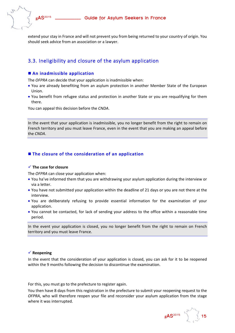extend your stay in France and will not prevent you from being returned to your country of origin. You should seek advice from an association or a lawyer.

## 3.3. Ineligibility and closure of the asylum application

#### **An inadmissible application**

The *OFPRA* can decide that your application is inadmissible when:

- You are already benefiting from an asylum protection in another Member State of the European Union.
- You benefit from refugee status and protection in another State or you are requalifying for them there.

You can appeal this decision before the *CNDA*.

In the event that your application is inadmissible, you no longer benefit from the right to remain on French territory and you must leave France, even in the event that you are making an appeal before the *CNDA*.

#### **The closure of the consideration of an application**

#### **The case for closure**

The *OFPRA* can close your application when:

- You ha've informed them that you are withdrawing your asylum application during the interview or via a letter.
- You have not submitted your application within the deadline of 21 days or you are not there at the interview.
- You are deliberately refusing to provide essential information for the examination of your application.
- You cannot be contacted, for lack of sending your address to the office within a reasonable time period.

In the event your application is closed, you no longer benefit from the right to remain on French territory and you must leave France.

#### **Reopening**

In the event that the consideration of your application is closed, you can ask for it to be reopened within the 9 months following the decision to discontinue the examination.

For this, you must go to the prefecture to register again.

You then have 8 days from this registration in the prefecture to submit your reopening request to the *OFPRA*, who will therefore reopen your file and reconsider your asylum application from the stage where it was interrupted.

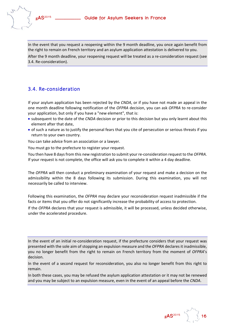In the event that you request a reopening within the 9 month deadline, you once again benefit from the right to remain on French territory and an asylum application attestation is delivered to you. After the 9 month deadline, your reopening request will be treated as a re-consideration request (see 3.4. Re‐consideration).

## 3.4. Re‐consideration

If your asylum application has been rejected by the *CNDA*, or if you have not made an appeal in the one month deadline following notification of the *OFPRA* decision, you can ask *OFPRA* to re‐consider your application, but only if you have a "new element", that is:

- subsequent to the date of the *CNDA* decision or prior to this decision but you only learnt about this element after that date,
- of such a nature as to justify the personal fears that you cite of persecution or serious threats if you return to your own country.

You can take advice from an association or a lawyer.

You must go to the prefecture to register your request.

You then have 8 days from this new registration to submit your re-consideration request to the *OFPRA*. If your request is not complete, the office will ask you to complete it within a 4 day deadline.

The *OFPRA* will then conduct a preliminary examination of your request and make a decision on the admissibility within the 8 days following its submission. During this examination, you will not necessarily be called to interview.

Following this examination, the *OFPRA* may declare your reconsideration request inadmissible if the facts or items that you offer do not significantly increase the probability of access to protection.

If the *OFPRA* declares that your request is admissible, it will be processed, unless decided otherwise, under the accelerated procedure.

In the event of an initial re-consideration request, if the prefecture considers that your request was presented with the sole aim of stopping an expulsion measure and the *OFPRA* declares it inadmissible, you no longer benefit from the right to remain on French territory from the moment of *OFPRA*'s decision.

In the event of a second request for reconsideration, you also no longer benefit from this right to remain.

In both these cases, you may be refused the asylum application attestation or it may not be renewed and you may be subject to an expulsion measure, even in the event of an appeal before the *CNDA*.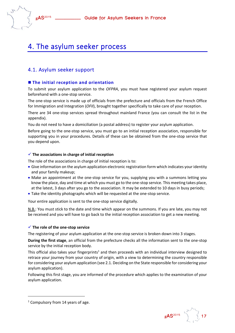## 4. The asylum seeker process

## 4.1. Asylum seeker support

#### **The initial reception and orientation**

To submit your asylum application to the *OFPRA*, you must have registered your asylum request beforehand with a one‐stop service.

The one‐stop service is made up of officials from the prefecture and officials from the French Office for Immigration and Integration (*OFII*), brought together specifically to take care of your reception.

There are 34 one‐stop services spread throughout mainland France (you can consult the list in the appendix).

You do not need to have a domiciliation (a postal address) to register your asylum application.

Before going to the one‐stop service, you must go to an initial reception association, responsible for supporting you in your procedures. Details of these can be obtained from the one-stop service that you depend upon.

#### **The associations in charge of initial reception**

The role of the associations in charge of initial reception is to:

- Give information on the asylum application electronic registration form which indicates your identity and your family makeup;
- Make an appointment at the one-stop service for you, supplying you with a summons letting you know the place, day and time at which you must go to the one‐stop service. This meeting takes place, at the latest, 3 days after you go to the association. It may be extended to 10 days in busy periods;
- Take the identity photographs which will be requested at the one‐stop service.

Your entire application is sent to the one‐stop service digitally.

N.B.: You must stick to the date and time which appear on the summons. If you are late, you may not be received and you will have to go back to the initial reception association to get a new meeting.

#### **The role of the one‐stop service**

The registering of your asylum application at the one-stop service is broken down into 3 stages.

**During the first stage**, an official from the prefecture checks all the information sent to the one‐stop service by the initial reception body.

This official also takes your fingerprints<sup>1</sup> and then proceeds with an individual interview designed to retrace your journey from your country of origin, with a view to determining the country responsible for considering your asylum application (see 2.1. Deciding on the State responsible for considering your asylum application).

Following this first stage, you are informed of the procedure which applies to the examination of your asylum application.



 $1$  Compulsory from 14 years of age.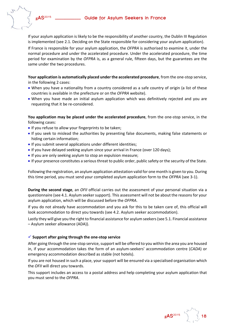

If your asylum application is likely to be the responsibility of another country, the Dublin III Regulation is implemented (see 2.1. Deciding on the State responsible for considering your asylum application).

If France is responsible for your asylum application, the *OFPRA* is authorised to examine it, under the normal procedure and under the accelerated procedure. Under the accelerated procedure, the time period for examination by the *OFPRA* is, as a general rule, fifteen days, but the guarantees are the same under the two procedures.

**Your application is automatically placed under the accelerated procedure**, from the one‐stop service, in the following 2 cases:

- When you have a nationality from a country considered as a safe country of origin (a list of these countries is available in the prefecture or on the *OFPRA* website).
- When you have made an initial asylum application which was definitively rejected and you are requesting that it be re‐considered.

**You application may be placed under the accelerated procedure**, from the one‐stop service, in the following cases:

- If you refuse to allow your fingerprints to be taken;
- If you seek to mislead the authorities by presenting false documents, making false statements or hiding certain information;
- If you submit several applications under different identities;
- If you have delayed seeking asylum since your arrival in France (over 120 days);
- If you are only seeking asylum to stop an expulsion measure;
- If your presence constitutes a serious threat to public order, public safety or the security of the State.

Following the registration, an asylum application attestation valid for one month is given to you. During this time period, you must send your completed asylum application form to the *OFPRA* (see 3‐1).

**During the second stage**, an *OFII* official carries out the assessment of your personal situation via a questionnaire (see 4.1. Asylum seekersupport). This assessment will not be about the reasonsfor your asylum application, which will be discussed before the *OFPRA*.

If you do not already have accommodation and you ask for this to be taken care of, this official will look accommodation to direct you towards (see 4.2. Asylum seeker accommodation).

Lastly they will give you the right to financial assistance for asylum seekers (see 5.1. Financial assistance – Asylum seeker allowance (ADA)).

#### **Support after going through the one‐stop service**

After going through the one-stop service, support will be offered to you within the area you are housed in, if your accommodation takes the form of an asylum‐seekers' accommodation centre (*CADA*) or emergency accommodation described as stable (not hotels).

If you are not housed in such a place, your support will be ensured via a specialised organisation which the *OFII* will direct you towards.

This support includes an access to a postal address and help completing your asylum application that you must send to the *OFPRA*.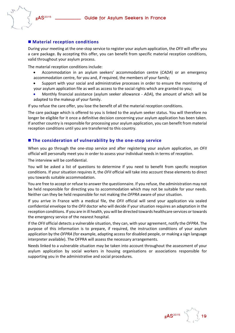

#### **Material reception conditions**

During your meeting at the one‐stop service to register your asylum application, the *OFII* will offer you a care package. By accepting this offer, you can benefit from specific material reception conditions, valid throughout your asylum process.

The material reception conditions include:

- Accommodation in an asylum seekers' accommodation centre (*CADA*) or an emergency accommodation centre, for you and, if required, the members of your family;
- Support with your social and administrative processes in order to ensure the monitoring of your asylum application file as well as access to the social rights which are granted to you;
- Monthly financial assistance (asylum seeker allowance ‐ *ADA*), the amount of which will be adapted to the makeup of your family.

If you refuse the care offer, you lose the benefit of all the material reception conditions.

The care package which is offered to you is linked to the asylum seeker status. You will therefore no longer be eligible for it once a definitive decision concerning your asylum application has been taken. If another country is responsible for processing your asylum application, you can benefit from material reception conditions until you are transferred to this country.

#### **The consideration of vulnerability by the one‐stop service**

When you go through the one‐stop service and after registering your asylum application, an *OFII* official will personally meet you in order to assess your individual needs in terms of reception.

The interview will be confidential.

You will be asked a list of questions to determine if you need to benefit from specific reception conditions. If your situation requires it, the *OFII* official will take into account these elements to direct you towards suitable accommodation.

You are free to accept or refuse to answer the questionnaire. If you refuse, the administration may not be held responsible for directing you to accommodation which may not be suitable for your needs. Neither can they be held responsible for not making the *OFPRA* aware of your situation.

If you arrive in France with a medical file, the *OFII* official will send your application via sealed confidential envelope to the *OFII* doctor who will decide if your situation requires an adaptation in the reception conditions. If you are in ill health, you will be directed towards healthcare services or towards the emergency service of the nearest hospital.

If the *OFII* official detects a vulnerable situation, they can, with your agreement, notify the *OFPRA*. The purpose of this information is to prepare, if required, the instruction conditions of your asylum application by the *OFPRA* (for example, adapting access for disabled people, or making a sign language interpreter available). The OFPRA will assess the necessary arrangements.

Needs linked to a vulnerable situation may be taken into account throughout the assessment of your asylum application by social workers in housing organisations or associations responsible for supporting you in the administrative and social procedures.

 **gAS**<sup>2015</sup> **19**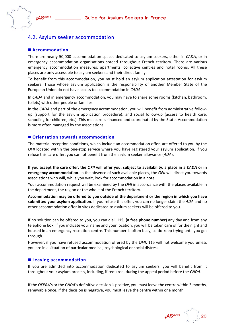

## 4.2. Asylum seeker accommodation

#### **Accommodation**

There are nearly 50,000 accommodation spaces dedicated to asylum seekers, either in *CADA*, or in emergency accommodation organisations spread throughout French territory. There are various emergency accommodation measures: apartments, collective centres and hotel rooms. All these places are only accessible to asylum seekers and their direct family.

To benefit from this accommodation, you must hold an asylum application attestation for asylum seekers. Those whose asylum application is the responsibility of another Member State of the European Union do not have access to accommodation in *CADA*.

In *CADA* and in emergency accommodation, you may have to share some rooms (kitchen, bathroom, toilets) with other people or families.

In the *CADA* and part of the emergency accommodation, you will benefit from administrative followup (support for the asylum application procedure), and social follow‐up (access to health care, schooling for children, etc.). This measure is financed and coordinated by the State. Accommodation is more often managed by the associations.

#### **Orientation towards accommodation**

The material reception conditions, which include an accommodation offer, are offered to you by the *OFII* located within the one-stop service where you have registered your asylum application. If you refuse this care offer, you cannot benefit from the asylum seeker allowance (*ADA*).

If you accept the care offer, the OFII will offer you, subject to availability, a place in a CADA or in **emergency accommodation**. In the absence of such available places, the *OFII* will direct you towards associations who will, while you wait, look for accommodation in a hotel.

Your accommodation request will be examined by the *OFII* in accordance with the places available in the department, the region or the whole of the French territory.

**Accommodation may be offered to you outside of the department or the region in which you have submitted your asylum application**. If you refuse this offer, you can no longer claim the *ADA* and no other accommodation offer in sites dedicated to asylum seekers will be offered to you.

If no solution can be offered to you, you can dial, **115, (a free phone number)** any day and from any telephone box**.** If you indicate your name and your location, you will be taken care of for the night and housed in an emergency reception centre. This number is often busy, so do keep trying until you get through.

However, if you have refused accommodation offered by the *OFII*, 115 will not welcome you unless you are in a situation of particular medical, psychological or social distress.

#### **Leaving accommodation**

If you are admitted into accommodation dedicated to asylum seekers, you will benefit from it throughout your asylum process, including, if required, during the appeal period before the *CNDA*.

If the *OFPRA*'s or the *CNDA*'s definitive decision is positive, you must leave the centre within 3 months, renewable once. If the decision is negative, you must leave the centre within one month.

**gAS**<sup>2015</sup>  $\sqrt{2}$  20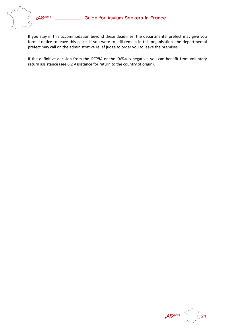



If you stay in this accommodation beyond these deadlines, the departmental prefect may give you formal notice to leave this place. If you were to still remain in this organisation, the departmental prefect may call on the administrative relief judge to order you to leave the premises.

If the definitive decision from the *OFPRA* or the *CNDA* is negative, you can benefit from voluntary return assistance (see 6.2 Assistance for return to the country of origin).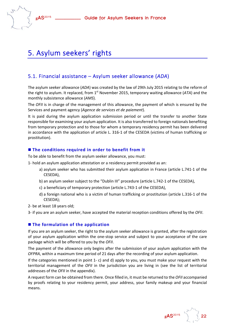

## 5. Asylum seekers' rights

## 5.1. Financial assistance – Asylum seeker allowance (*ADA*)

The asylum seeker allowance (*ADA*) was created by the law of 29th July 2015 relating to the reform of the right to asylum. It replaced, from 1<sup>st</sup> November 2015, temporary waiting allowance (ATA) and the monthly subsistence allowance (*AMS*).

The *OFII* is in charge of the management of this allowance, the payment of which is ensured by the Services and payment agency (*Agence de services et de paiement*).

It is paid during the asylum application submission period or until the transfer to another State responsible for examining your asylum application. It is also transferred to foreign nationals benefiting from temporary protection and to those for whom a temporary residency permit has been delivered in accordance with the application of article L. 316‐1 of the CESEDA (victims of human trafficking or prostitution).

#### **The conditions required in order to benefit from it**

To be able to benefit from the asylum seeker allowance, you must:

- 1‐ hold an asylum application attestation or a residency permit provided as an:
	- a) asylum seeker who has submitted their asylum application in France (article L.741‐1 of the CESEDA),
	- b) an asylum seeker subject to the "Dublin III" procedure (article L.742‐1 of the CESEDA),
	- c) a beneficiary of temporary protection (article L.743‐1 of the CESEDA),
	- d) a foreign national who is a victim of human trafficking or prostitution (article L.316‐1 of the CESEDA);
- 2‐ be at least 18 years old;
- 3‐ if you are an asylum seeker, have accepted the material reception conditions offered by the *OFII*.

#### **The formulation of the application**

If you are an asylum seeker, the right to the asylum seeker allowance is granted, after the registration of your asylum application within the one‐stop service and subject to your acceptance of the care package which will be offered to you by the *OFII*.

The payment of the allowance only begins after the submission of your asylum application with the *OFPRA*, within a maximum time period of 21 days after the recording of your asylum application.

If the categories mentioned in point 1‐ c) and d) apply to you, you must make your request with the territorial management of the *OFII* in the jurisdiction you are living in (see the list of territorial addresses of the *OFII* in the appendix).

A request form can be obtained from there. Once filled in, it must be returned to the *OFII* accompanied by proofs relating to your residency permit, your address, your family makeup and your financial means.

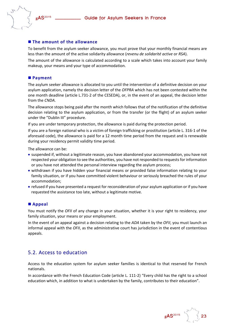

### **The amount of the allowance**

To benefit from the asylum seeker allowance, you must prove that your monthly financial means are less than the amount of the active solidarity allowance (*revenu de solidarité active* or *RSA*).

The amount of the allowance is calculated according to a scale which takes into account your family makeup, your means and your type of accommodation.

### **Payment**

The asylum seeker allowance is allocated to you until the intervention of a definitive decision on your asylum application, namely the decision letter of the *OFPRA* which has not been contested within the one month deadline (article L.731‐2 of the CESEDA), or, in the event of an appeal, the decision letter from the *CNDA*.

The allowance stops being paid after the month which follows that of the notification of the definitive decision relating to the asylum application, or from the transfer (or the flight) of an asylum seeker under the "Dublin III" procedure.

If you are under temporary protection, the allowance is paid during the protection period.

If you are a foreign national who is a victim of foreign trafficking or prostitution (article L. 316‐1 of the aforesaid code), the allowance is paid for a 12 month time period from the request and is renewable during your residency permit validity time period.

The allowance can be:

- suspended if, without a legitimate reason, you have abandoned your accommodation, you have not respected your obligation to see the authorities, you have not responded to requests for information or you have not attended the personal interview regarding the asylum process;
- withdrawn if you have hidden your financial means or provided false information relating to your family situation, or if you have committed violent behaviour or seriously breached the rules of your accommodation;
- refused if you have presented a request for reconsideration of your asylum application or if you have requested the assistance too late, without a legitimate motive.

#### **Appeal**

You must notify the *OFII* of any change in your situation, whether it is your right to residency, your family situation, your means or your employment.

In the event of an appeal against a decision relating to the *ADA* taken by the *OFII*, you must launch an informal appeal with the *OFII*, as the administrative court has jurisdiction in the event of contentious appeals.

### 5.2. Access to education

Access to the education system for asylum seeker families is identical to that reserved for French nationals.

In accordance with the French Education Code (article L. 111‐2) "Every child has the right to a school education which, in addition to what is undertaken by the family, contributes to their education".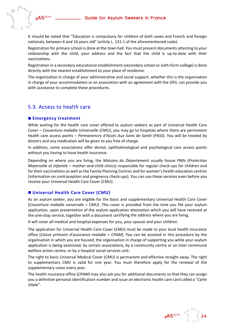

It should be noted that "Education is compulsory for children of both sexes and French and foreign nationals, between 6 and 16 years old" (article L. 131‐1 of the aforementioned code).

Registration for primary school is done at the town hall. You must present documents attesting to your relationship with the child, your address and the fact that the child is up-to-date with their vaccinations.

Registration in a secondary educational establishment (secondary school or sixth-form college) is done directly with the nearest establishment to your place of residence.

The organisation in charge of your administrative and social support, whether this is the organisation in charge of your accommodation or an association with an agreement with the *OFII*, can provide you with assistance to complete these procedures.

### 5.3. Access to health care

#### **Emergency treatment**

While waiting for the health care cover offered to asylum seekers as part of Universal Health Care Cover – *Couverture maladie Universelle* (*CMU*), you may go to hospitals where there are permanent health care access points – *Permanences d'Accès Aux Soins de Santé* (*PASS*). You will be treated by doctors and any medication will be given to you free of charge.

In addition, some associations offer dental, ophthalmological and psychological care access points without you having to have health insurance.

Depending on where you are living, the *Maisons du Département* usually house *PMIs* (*Protection Maternelle et Infantile* – mother‐and‐child clinics) responsible for regular check‐ups for children and for their vaccinations as well as the Family Planning Centres and for women's health education centres (information on contraception and pregnancy check‐ups). You can use these services even before you receive your Universal Health Care Cover (CMU).

#### **Universal Health Care Cover (***CMU***)**

As an asylum seeker, you are eligible for the basic and supplementary Universal Health Care Cover (*Couverture maladie universale = CMU*). This cover is provided from the time you file your asylum application, upon presentation of the asylum application attestation which you will have received at the one‐stop service, together with a document certifying the address where you are living.

It will cover all medical and hospital expenses for you, your spouse and your children.

The application for Universal Health Care Cover (*CMU*) must be made to your local health insurance office (*Caisse primaire d'assurance maladie = CPAM*). You can be assisted in this procedure by the organisation in which you are housed, the organisation in charge of supporting you while your asylum application is being examined, by certain associations, by a community centre or an inter-communal welfare action centre, or by a hospital social services unit.

The right to basic Universal Medical Cover (*CMU*) is permanent and effective straight away. The right to supplementary *CMU* is valid for one year. You must therefore apply for the renewal of the supplementary cover every year.

The health insurance office (*CPAM*) may also ask you for additional documents so that they can assign you a definitive personal identification number and issue an electronic health care card called a "*Carte Vitale*".

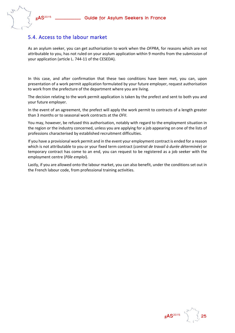

## 5.4. Access to the labour market

As an asylum seeker, you can get authorisation to work when the *OFPRA*, for reasons which are not attributable to you, has not ruled on your asylum application within 9 months from the submission of your application (article L. 744‐11 of the CESEDA).

In this case, and after confirmation that these two conditions have been met, you can, upon presentation of a work permit application formulated by your future employer, request authorisation to work from the prefecture of the department where you are living.

The decision relating to the work permit application is taken by the prefect and sent to both you and your future employer.

In the event of an agreement, the prefect will apply the work permit to contracts of a length greater than 3 months or to seasonal work contracts at the *OFII*.

You may, however, be refused this authorisation, notably with regard to the employment situation in the region or the industry concerned, unless you are applying for a job appearing on one of the lists of professions characterised by established recruitment difficulties.

If you have a provisional work permit and in the event your employment contract is ended for a reason which is not attributable to you or your fixed term contract (*contrat de travail à durée déterminée*) or temporary contract has come to an end, you can request to be registered as a job seeker with the employment centre (*Pôle emploi*).

Lastly, if you are allowed onto the labour market, you can also benefit, under the conditions set out in the French labour code, from professional training activities.

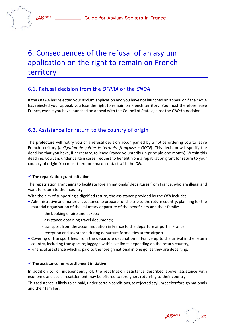## 6. Consequences of the refusal of an asylum application on the right to remain on French territory

## 6.1. Refusal decision from the *OFPRA* or the *CNDA*

If the *OFPRA* has rejected your asylum application and you have not launched an appeal or if the *CNDA* has rejected your appeal, you lose the right to remain on French territory. You must therefore leave France, even if you have launched an appeal with the Council of State against the *CNDA*'s decision.

## 6.2. Assistance for return to the country of origin

The prefecture will notify you of a refusal decision accompanied by a notice ordering you to leave French territory (*obligation de quitter le territoire française = OQTF*). This decision will specify the deadline that you have, if necessary, to leave France voluntarily (in principle one month). Within this deadline, you can, under certain cases, request to benefit from a repatriation grant for return to your country of origin. You must therefore make contact with the *OFII*.

#### $\checkmark$  The repatriation grant initiative

The repatriation grant aims to facilitate foreign nationals' departures from France, who are illegal and want to return to their country.

With the aim of supporting a dignified return, the assistance provided by the *OFII* includes:

- Administrative and material assistance to prepare for the trip to the return country, planning for the material organisation of the voluntary departure of the beneficiary and their family:
	- ‐ the booking of airplane tickets;
	- ‐ assistance obtaining travel documents;
	- ‐ transport from the accommodation in France to the departure airport in France;
	- ‐ reception and assistance during departure formalities at the airport.
- Covering of transport fees from the departure destination in France up to the arrival in the return country, including transporting luggage within set limits depending on the return country;
- Financial assistance which is paid to the foreign national in one go, as they are departing.

#### **The assistance for resettlement initiative**

In addition to, or independently of, the repatriation assistance described above, assistance with economic and social resettlement may be offered to foreigners returning to their country.

This assistance is likely to be paid, under certain conditions, to rejected asylum seeker foreign nationals and their families.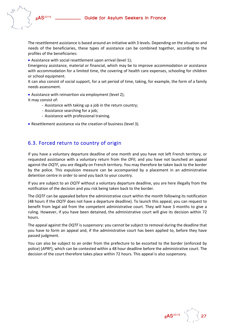

The resettlement assistance is based around an initiative with 3 levels. Depending on the situation and needs of the beneficiaries, these types of assistance can be combined together, according to the profiles of the beneficiaries:

Assistance with social resettlement upon arrival (level 1);

Emergency assistance, material or financial, which may be to improve accommodation or assistance with accommodation for a limited time, the covering of health care expenses, schooling for children or school equipment.

It can also consist of social support, for a set period of time, taking, for example, the form of a family needs assessment.

• Assistance with reinsertion via employment (level 2);

It may consist of:

- ‐ Assistance with taking up a job in the return country;
- ‐ Assistance searching for a job;
- ‐ Assistance with professional training.
- Resettlement assistance via the creation of business (level 3).

## 6.3. Forced return to country of origin

If you have a voluntary departure deadline of one month and you have not left French territory, or requested assistance with a voluntary return from the *OFII*, and you have not launched an appeal against the *OQTF*, you are illegally on French territory. You may therefore be taken back to the border by the police. This expulsion measure can be accompanied by a placement in an administrative detention centre in order to send you back to your country.

If you are subject to an *OQTF* without a voluntary departure deadline, you are here illegally from the notification of the decision and you risk being taken back to the border.

The *OQTF* can be appealed before the administrative court within the month following its notification (48 hours if the *OQTF* does not have a departure deadline). To launch this appeal, you can request to benefit from legal aid from the competent administrative court. They will have 3 months to give a ruling. However, if you have been detained, the administrative court will give its decision within 72 hours.

The appeal against the *OQTF* is suspensory: you cannot be subject to removal during the deadline that you have to form an appeal and, if the administrative court has been applied to, before they have passed judgment.

You can also be subject to an order from the prefecture to be escorted to the border (enforced by police) (*APRF*), which can be contested within a 48 hour deadline before the administrative court. The decision of the court therefore takes place within 72 hours. This appeal is also suspensory.

**gAS**<sup>2015</sup>  $\qquad$   $\qquad$   $\qquad$  27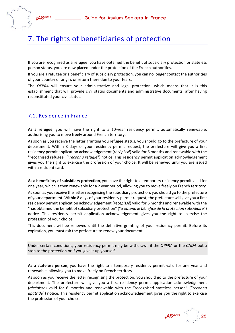

## 7. The rights of beneficiaries of protection

If you are recognised as a refugee, you have obtained the benefit of subsidiary protection or stateless person status, you are now placed under the protection of the French authorities.

If you are a refugee or a beneficiary of subsidiary protection, you can no longer contact the authorities of your country of origin, or return there due to your fears.

The *OFPRA* will ensure your administrative and legal protection, which means that it is this establishment that will provide civil status documents and administrative documents, after having reconstituted your civil status.

### 7.1. Residence in France

**As a refugee,** you will have the right to a 10‐year residency permit, automatically renewable, authorising you to move freely around French territory.

As soon as you receive the letter granting you refugee status, you should go to the prefecture of your department. Within 8 days of your residency permit request, the prefecture will give you a first residency permit application acknowledgement (*récépissé*) valid for 6 months and renewable with the "recognised refugee" ("*reconnu réfugié*") notice. This residency permit application acknowledgement gives you the right to exercise the profession of your choice. It will be renewed until you are issued with a resident card.

**As a beneficiary of subsidiary protection**, you have the right to a temporary residency permit valid for one year, which is then renewable for a 2 year period, allowing you to move freely on French territory.

Assoon as you receive the letter recognising the subsidiary protection, you should go to the prefecture of your department. Within 8 days of your residency permit request, the prefecture will give you a first residency permit application acknowledgement (*récépissé*) valid for 6 months and renewable with the "has obtained the benefit ofsubsidiary protection" ("*a obtenu le bénéfice de la protection subsidiaire*") notice. This residency permit application acknowledgement gives you the right to exercise the profession of your choice.

This document will be renewed until the definitive granting of your residency permit. Before its expiration, you must ask the prefecture to renew your document.

Under certain conditions, your residency permit may be withdrawn if the *OPFRA* or the *CNDA* put a stop to the protection or if you give it up yourself.

**As a stateless person**, you have the right to a temporary residency permit valid for one year and renewable, allowing you to move freely on French territory.

As soon as you receive the letter recognising the protection, you should go to the prefecture of your department. The prefecture will give you a first residency permit application acknowledgement (*récépissé*) valid for 6 months and renewable with the "recognised stateless person" ("*reconnu apatride*") notice. This residency permit application acknowledgement gives you the right to exercise the profession of your choice.

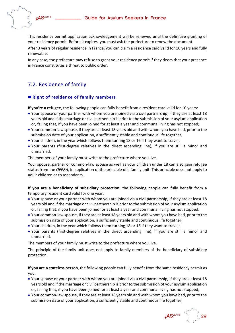

This residency permit application acknowledgement will be renewed until the definitive granting of your residency permit. Before it expires, you must ask the prefecture to renew the document.

After 3 years of regular residence in France, you can claim a residence card valid for 10 years and fully renewable.

In any case, the prefecture may refuse to grant your residency permit if they deem that your presence in France constitutes a threat to public order.

## 7.2. Residence of family

#### **Right of residence of family members**

**If you're a refugee**, the following people can fully benefit from a resident card valid for 10 years:

- Your spouse or your partner with whom you are joined via a civil partnership, if they are at least 18 years old and if the marriage or civil partnership is prior to the submission of your asylum application or, failing that, if you have been joined for at least a year and communal living has not stopped;
- Your common‐law spouse, if they are at least 18 years old and with whom you have had, prior to the submission date of your application, a sufficiently stable and continuous life together;
- Your children, in the year which follows them turning 18 or 16 if they want to travel;
- Your parents (first‐degree relatives in the direct ascending line), if you are still a minor and unmarried.

The members of your family must write to the prefecture where you live.

Your spouse, partner or common‐law spouse as well as your children under 18 can also gain refugee status from the *OFPRA*, in application of the principle of a family unit. This principle does not apply to adult children or to ascendants.

**If you are a beneficiary of subsidiary protection**, the following people can fully benefit from a temporary resident card valid for one year:

- Your spouse or your partner with whom you are joined via a civil partnership, if they are at least 18 years old and if the marriage or civil partnership is prior to the submission of your asylum application or, failing that, if you have been joined for at least a year and communal living has not stopped;
- Your common‐law spouse, if they are at least 18 years old and with whom you have had, prior to the submission date of your application, a sufficiently stable and continuous life together;
- Your children, in the year which follows them turning 18 or 16 if they want to travel;
- Your parents (first‐degree relatives in the direct ascending line), if you are still a minor and unmarried.

The members of your family must write to the prefecture where you live.

The principle of the family unit does not apply to family members of the beneficiary of subsidiary protection.

**If you are a stateless person**, the following people can fully benefit from the same residency permit as you:

- Your spouse or your partner with whom you are joined via a civil partnership, if they are at least 18 years old and if the marriage or civil partnership is prior to the submission of your asylum application or, failing that, if you have been joined for at least a year and communal living has not stopped;
- Your common‐law spouse, if they are at least 18 years old and with whom you have had, prior to the submission date of your application, a sufficiently stable and continuous life together;

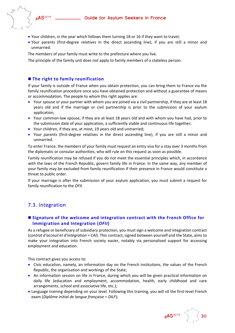- - Your children, in the year which follows them turning 18 or 16 if they want to travel;
	- Your parents (first‐degree relatives in the direct ascending line), if you are still a minor and unmarried.

The members of your family must write to the prefecture where you live.

The principle of the family unit does not apply to family members of a stateless person.

## **The right to family reunification**

If your family is outside of France when you obtain protection, you can bring them to France via the family reunification procedure once you have obtained protection and without a guarantee of means or accommodation. The people to whom this right applies are:

- Your spouse or your partner with whom you are joined via a civil partnership, if they are at least 18 years old and if the marriage or civil partnership is prior to the submission of your asylum application;
- Your common-law spouse, if they are at least 18 years old and with whom you have had, prior to the submission date of your application, a sufficiently stable and continuous life together;
- Your children, if they are, at most, 19 years old and unmarried;
- Your parents (first-degree relatives in the direct ascending line), if you are still a minor and unmarried.

To enter France, the members of your family must request an entry visa for a stay over 3 months from the diplomatic or consular authorities, who will rule on this request as soon as possible.

Family reunification may be refused if you do not meet the essential principles which, in accordance with the laws of the French Republic, govern family life in France. In the same way, any member of your family may be excluded from family reunification if their presence in France would constitute a threat to public order.

If your marriage is after the submission of your asylum application, you must submit a request for family reunification to the *OFII*.

## 7.3. Integration

### **Signature of the welcome and integration contract with the French Office for Immigration and Integration (***OFII***)**

As a refugee or beneficiary of subsidiary protection, you must sign a welcome and integration contract (*contrat d'acceuil et d'intégration* = *CAI*). This contract, signed between yourself and the State, aims to make your integration into French society easier, notably via personalised support for accessing employment and education.

This contract gives you access to:

- Civic education, namely, an information day on the French institutions, the values of the French Republic, the organisation and workings of the State;
- An information session on life in France, during which you will be given practical information on daily life (education and employment, accommodation, health, early childhood and care arrangements, school and associative life, etc.);
- Language training depending on your level. Following this training, you will sit the first‐level French exam (*Diplôme initial de langue française* = *DILF*);

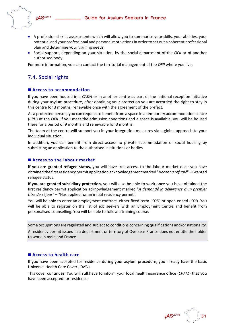

- A professional skills assessments which will allow you to summarise your skills, your abilities, your potential and your professional and personal motivationsin order to set out a coherent professional plan and determine your training needs;
- **S** Social support, depending on your situation, by the social department of the *OFII* or of another authorised body.

For more information, you can contact the territorial management of the *OFII* where you live.

## 7.4. Social rights

#### **Access to accommodation**

If you have been housed in a *CADA* or in another centre as part of the national reception initiative during your asylum procedure, after obtaining your protection you are accorded the right to stay in this centre for 3 months, renewable once with the agreement of the prefect.

As a protected person, you can request to benefit from a space in a temporary accommodation centre (*CPH*) at the *OFII*. If you meet the admission conditions and a space is available, you will be housed there for a period of 9 months and renewable for 3 months.

The team at the centre will support you in your integration measures via a global approach to your individual situation.

In addition, you can benefit from direct access to private accommodation or social housing by submitting an application to the authorised institutions or bodies.

#### **Access to the labour market**

**If you are granted refugee status,** you will have free access to the labour market once you have obtained the first residency permit application acknowledgement marked "*Reconnu refugié*" – Granted refugee status.

**If you are granted subsidiary protection,** you will also be able to work once you have obtained the first residency permit application acknowledgement marked "*A demandé la délivrance d'un premier titre de séjour*" – "Has applied for an initial residency permit".

You will be able to enter an employment contract, either fixed-term (*CDD*) or open-ended (*CDI*). You will be able to register on the list of job seekers with an Employment Centre and benefit from personalised counselling. You will be able to follow a training course.

Some occupations are regulated and subject to conditions concerning qualifications and/or nationality.

A residency permit issued in a department or territory of Overseas France does not entitle the holder to work in mainland France.

#### **Access to health care**

If you have been accepted for residence during your asylum procedure, you already have the basic Universal Health Care Cover (*CMU*).

This cover continues. You will still have to inform your local health insurance office (*CPAM*) that you have been accepted for residence.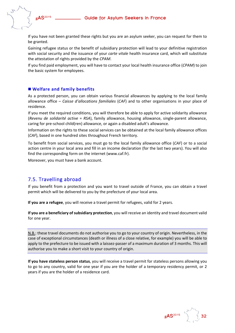

If you have not been granted these rights but you are an asylum seeker, you can request for them to be granted.

Gaining refugee status or the benefit of subsidiary protection will lead to your definitive registration with social security and the issuance of your *carte vitale* health insurance card, which will substitute the attestation of rights provided by the *CPAM*.

If you find paid employment, you will have to contact your local health insurance office (*CPAM*) to join the basic system for employees.

#### **Welfare and family benefits**

As a protected person, you can obtain various financial allowances by applying to the local family allowance office – *Caisse d'allocations familiales* (*CAF*) and to other organisations in your place of residence.

If you meet the required conditions, you will therefore be able to apply for active solidarity allowance (*Revenu de solidarité active* = *RSA*), family allowance, housing allowance, single‐parent allowance, caring for pre‐school child(ren) allowance, or again a disabled adult's allowance.

Information on the rights to these social services can be obtained at the local family allowance offices (*CAF*), based in one hundred sites throughout French territory.

To benefit from social services, you must go to the local family allowance office (*CAF*) or to a social action centre in your local area and fill in an income declaration (for the last two years). You will also find the corresponding form on the internet (www.caf.fr).

Moreover, you must have a bank account.

### 7.5. Travelling abroad

If you benefit from a protection and you want to travel outside of France, you can obtain a travel permit which will be delivered to you by the prefecture of your local area.

**If you are a refugee**, you will receive a travel permit for refugees, valid for 2 years.

**If you are a beneficiary ofsubsidiary protection**, you will receive an identity and travel document valid for one year.

N.B.: these travel documents do not authorise you to go to your country of origin. Nevertheless, in the case of exceptional circumstances (death or illness of a close relative, for example) you will be able to apply to the prefecture to be issued with a laissez-passer of a maximum duration of 3 months. This will authorise you to make a short visit to your country of origin.

**If you have stateless person status**, you will receive a travel permit for stateless persons allowing you to go to any country, valid for one year if you are the holder of a temporary residency permit, or 2 years if you are the holder of a residence card.

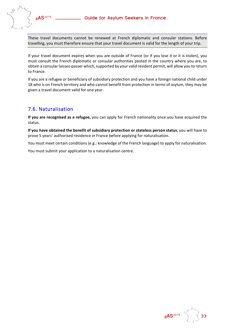

These travel documents cannot be renewed at French diplomatic and consular stations. Before travelling, you must therefore ensure that your travel document is valid for the length of your trip.

If your travel document expires when you are outside of France (or if you lose it or it is stolen), you must consult the French diplomatic or consular authorities posted in the country where you are, to obtain a consular laissez-passer which, supported by your valid resident permit, will allow you to return to France.

If you are a refugee or beneficiary of subsidiary protection and you have a foreign national child under 18 who is on French territory and who cannot benefit from protection in terms of asylum, they may be given a travel document valid for one year.

## 7.6. Naturalisation

**If you are recognised as a refugee,** you can apply for French nationality once you have acquired the status.

**If you have obtained the benefit of subsidiary protection or stateless person status**, you will have to prove 5 years' authorised residence in France before applying for naturalisation.

You must meet certain conditions (e.g.: knowledge of the French language) to apply for naturalisation.

You must submit your application to a naturalisation centre.

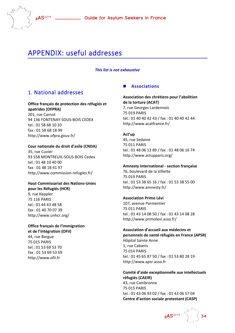

## APPENDIX: useful addresses

#### *This list is not exhaustive*

## 1. National addresses

#### **Office français de protection des réfugiés et apatrides (OFPRA)**

201, rue Carnot 94 136 FONTENAY‐SOUS‐BOIS CEDEX tel.: 01 58 68 10 10 fax : 01 58 68 18 99 http://www.ofpra.gouv.fr/

#### **Cour nationale du droit d'asile (CNDA)**

35, rue Cuvier 93 558 MONTREUIL‐SOUS‐BOIS Cedex tel.: 01 48 10 40 00 fax : 01 48 18 41 97 http://www.commission‐refugies.fr/

#### **Haut Commissariat des Nations‐Unies pour les Réfugiés (HCR)**

9, rue Keppler 75 116 PARIS tel.: 01 44 43 48 58 fax : 01 40 70 07 39 http://www.unhcr.org/

### **Office français de l'immigration et de l'intégration (OFII)**

44, rue Bargue 75 015 PARIS tel.: 01 53 69 53 70 fax : 01 53 69 53 69 http://www.ofii.fr

#### **Associations**

#### **Association des chrétiens pour l'abolition de la torture (ACAT)**

7, rue Georges Lardennois 75 019 PARIS tel.: 01 40 40 42 43 / fax : 01 40 40 42 44 http://www.acatfrance.fr/

#### **Act'up**

45, rue Sedaine 75 011 PARIS tel.: 01 48 06 13 89 / fax : 01 48 06 16 74 http://www.actupparis.org/

#### **Amnesty International ‐ section française**

76, boulevard de la Villette 75 019 PARIS tel.: 01 53 38 65 16 / fax : 01 53 38 55 00 http://www.amnesty.fr/

#### **Association Primo Lévi**

107, avenue Parmentier 75 011 PARIS tel.: 01 43 14 08 50 / fax : 01 43 14 08 28 http://www.primolevi.asso.fr/

### **Association d'accueil aux médecins et personnels de santé réfugiés en France (APSR)**

Hôpital Sainte Anne 1, rue Cabanis 75 014 PARIS tel.: 01 45 65 87 50 / fax : 01 53 80 28 19 http://www.apsr.asso.fr

#### **Comité d'aide exceptionnelle aux intellectuels réfugiés (CAEIR)** 43, rue Cambronne 75 015 PARIS tel.: 01 43 06 93 02 / fax : 01 43 06 57 04 **Centre d'action sociale protestant (CASP)**

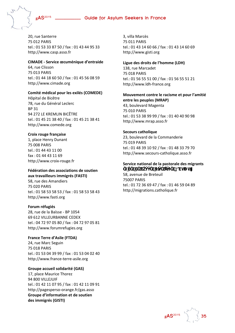

20, rue Santerre 75 012 PARIS tel.: 01 53 33 87 50 / fax : 01 43 44 95 33 http://www.casp.asso.fr

#### **CIMADE ‐ Service œcuménique d'entraide**

64, rue Clisson 75 013 PARIS tel.: 01 44 18 60 50 / fax : 01 45 56 08 59 http://www.cimade.org

#### **Comité médical pour les exilés (COMEDE)**

Hôpital de Bicêtre 78, rue du Général Leclerc BP 31 94 272 LE KREMLIN BICÊTRE tel.: 01 45 21 38 40 / fax : 01 45 21 38 41 http://www.comede.org

#### **Croix rouge française**

1, place Henry Dunant 75 008 PARIS tel.: 01 44 43 11 00 fax : 01 44 43 11 69 http://www.croix‐rouge.fr

#### **Fédération des associations de soutien aux travailleurs immigrés (FASTI)**

58, rue des Amandiers 75 020 PARIS tel.: 01 58 53 58 53 / fax : 01 58 53 58 43 http://www.fasti.org

#### **Forum réfugiés**

28, rue de la Baïsse ‐ BP 1054 69 612 VILLEURBANNE CEDEX tel.: 04 72 97 05 80 / fax : 04 72 97 05 81 http://www.forumrefugies.org

**France Terre d'Asile (FTDA)** 24, rue Marc Seguin 75 018 PARIS tel.: 01 53 04 39 99 / fax : 01 53 04 02 40 http://www.france‐terre‐asile.org

#### **Groupe accueil solidarité (GAS)**

17, place Maurice Thorez 94 800 VILLEJUIF tel.: 01 42 11 07 95 / fax : 01 42 11 09 91 http://pagesperso‐orange.fr/gas.asso **Groupe d'information et de soutien des immigrés (GISTI)**

3, villa Marcès 75 011 PARIS tel.: 01 43 14 60 66 / fax : 01 43 14 60 69 http://www.gisti.org

**Ligue des droits de l'homme (LDH)** 138, rue Marcadet 75 018 PARIS tel.: 01 56 55 51 00 / fax : 01 56 55 51 21 http://www.ldh‐france.org

#### **Mouvement contre le racisme et pour l'amitié entre les peuples (MRAP)**

43, boulevard Magenta 75 010 PARIS tel.: 01 53 38 99 99 / fax : 01 40 40 90 98 http://www.mrap.asso.fr

#### **Secours catholique**

23, boulevard de la Commanderie 75 019 PARIS tel.: 01 48 39 10 92 / fax : 01 48 33 79 70 http://www.secours‐catholique.asso.fr

#### **Service national de la pastorale des migrants** dVhU h@

58, avenue de Breteuil 75007 PARIS tel.: 01 72 36 69 47 / fax : 01 46 59 04 89 http://migrations.catholique.fr



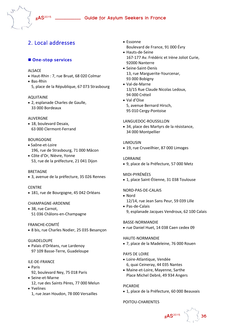## 2. Local addresses

#### **One‐stop services**

#### ALSACE

Haut‐Rhin : 7, rue Bruat, 68 020 Colmar

#### Bas‐Rhin

5, place de la République, 67 073 Strasbourg

#### AQUITAINE

 2, esplanade Charles de Gaulle, 33 000 Bordeaux

#### AUVERGNE

 18, boulevard Desaix, 63 000 Clermont‐Ferrand

#### BOURGOGNE

- Saône‐et‐Loire 196, rue de Strasbourg, 71 000 Mâcon
- Côte d'Or, Nièvre, Yonne 53, rue de la préfecture, 21 041 Dijon

#### **BRETAGNE**

3, avenue de la préfecture, 35 026 Rennes

#### **CENTRE**

181, rue de Bourgogne, 45 042 Orléans

#### CHAMPAGNE‐ARDENNE

 38, rue Carnot, 51 036 Châlons‐en‐Champagne

#### FRANCHE**‐**COMTÉ

8 bis, rue Charles Nodier, 25 035 Besançon

#### GUADELOUPE

 Palais d'Orléans, rue Lardenoy 97 109 Basse‐Terre, Guadeloupe

#### ILE‐DE‐FRANCE

- Paris 92, boulevard Ney, 75 018 Paris
- Seine-et-Marne
- 12, rue des Saints Pères, 77 000 Melun
- Yvelines 1, rue Jean Houdon, 78 000 Versailles
- Essonne Boulevard de France, 91 000 Évry
- Hauts-de-Seine 167‐177 Av. Frédéric et Irène Joliot Curie, 92000 Nanterre
- Seine-Saint-Denis 13, rue Marguerite‐Yourcenar, 93 000 Bobigny
- Val‐de‐Marne 13/15 Rue Claude Nicolas Ledoux, 94 000 Créteil
- Val d'Oise 5, avenue Bernard Hirsch, 95 010 Cergy‐Pontoise

#### LANGUEDOC‐ROUSSILLON

 34, place des Martyrs de la résistance, 34 000 Montpellier

#### LIMOUSIN

• 19, rue Cruveilhier, 87 000 Limoges

#### LORRAINE

9, place de la Préfecture, 57 000 Metz

#### MIDI‐PYRÉNÉES

● 1, place Saint-Étienne, 31 038 Toulouse

#### NORD‐PAS‐DE‐CALAIS

- Nord
- 12/14, rue Jean Sans Peur, 59 039 Lille
- Pas-de-Calais 9, esplanade Jacques Vendroux, 62 100 Calais

#### BASSE‐NORMANDIE

• rue Daniel Huet, 14 038 Caen cedex 09

#### HAUTE‐NORMANDIE

7, place de la Madeleine, 76 000 Rouen

#### PAYS DE LOIRE

- Loire‐Atlantique, Vendée 6, quai Ceineray, 44 035 Nantes
- Maine‐et‐Loire, Mayenne, Sarthe Place Michel Debré, 49 934 Angers

#### PICARDIE

• 1, place de la Préfecture, 60 000 Beauvais

#### POITOU‐CHARENTES

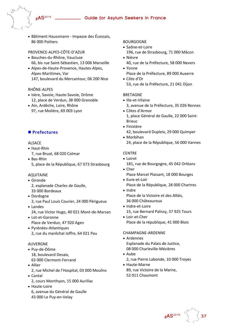

 Bâtiment Haussmann ‐ Impasse des Écossais, 86 000 Poitiers

#### PROVENCE‐ALPES‐CÔTE‐D'AZUR

- Bouches‐du‐Rhône, Vaucluse 66, bis rue Saint‐Sébastien, 13 006 Marseille
- Alpes‐de‐Haute‐Provence, Hautes‐Alpes, Alpes‐Maritimes, Var 147, boulevard du Mercantour, 06 200 Nice

#### RHÔNE‐ALPES

- Isère, Savoie, Haute-Savoie, Drôme 12, place de Verdun, 38 000 Grenoble
- Ain, Ardèche, Loire, Rhône 97, rue Molière, 69 003 Lyon

#### **Prefectures**

#### ALSACE

Haut‐Rhin

7, rue Bruat, 68 020 Colmar

 Bas‐Rhin 5, place de la République, 67 073 Strasbourg

#### AQUITAINE

- Gironde
	- 2, esplanade Charles de Gaulle, 33 000 Bordeaux
- Dordogne 2, rue Paul Louis Courier, 24 000 Périgueux
- Landes 24, rue Victor Hugo, 40 021 Mont‐de‐Marsan
- Lot‐et‐Garonne Place de Verdun, 47 920 Agen
- Pyrénées-Atlantiques 2, rue du maréchal Joffre, 64 021 Pau

#### AUVERGNE

- Puy‐de‐Dôme 18, boulevard Desaix, 63 000 Clermont‐Ferrand
- Allier
- 2, rue Michel de l'Hospital, 03 000 Moulins Cantal
	- 2, cours Monthyon, 15 000 Aurillac
- Haute-Loire 6, avenue du Général de Gaulle 43 000 Le Puy‐en‐Velay

#### BOURGOGNE

- Saône‐et‐Loire
	- 196, rue de Strasbourg, 71 000 Mâcon
- Nièvre
- 40, rue de la Préfecture, 58 000 Nevers Yonne
- Place de la Préfecture, 89 000 Auxerre
- Côte d'Or 53, rue de la Préfecture, 21 041 Dijon

#### **BRETAGNE**

- Ille-et-Vilaine
	- 3, avenue de la Préfecture, 35 026 Rennes
- Côtes d'Armor 1, place Général de Gaulle, 22 000 Saint‐ Brieuc
- Finistère 42, boulevard Dupleix, 29 000 Quimper
- Morbihan 24, place de la République, 56 000 Vannes

#### **CENTRE**

- Loiret
- 181, rue de Bourgogne, 45 042 Orléans
- Cher Place Marcel Plaisant, 18 000 Bourges
- Eure-et-Loir Place de la République, 28 000 Chartres
- Indre
	- Place de la Victoire et des Alliés, 36 000 Châteauroux
- Indre-et-Loire
- 15, rue Bernard Palissy, 37 925 Tours
- Loir‐et‐Cher Place de la république, 41 000 Blois

#### CHAMPAGNE‐ARDENNE

- Ardennes Esplanade du Palais de Justice, 08 000 Charleville‐Mézières
- Aube
	- 2, rue Pierre Labonde, 10 000 Troyes
- Haute‐Marne 89, rue Victoire de la Marne, 52 011 Chaumont

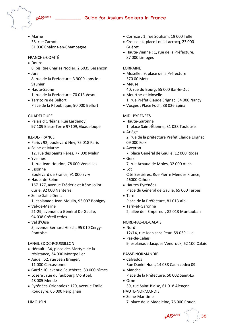

• Marne

38, rue Carnot, 51 036 Châlons‐en‐Champagne

#### FRANCHE‐COMTÉ

- Doubs
- 8, bis Rue Charles Nodier, 2 5035 Besançon Jura
- 8, rue de la Préfecture, 3 9000 Lons‐le‐ Saunier
- Haute‐Saône 1, rue de la Préfecture, 70 013 Vesoul
- Territoire de Belfort Place de la République, 90 000 Belfort

#### GUADELOUPE

 Palais d'Orléans, Rue Lardenoy, 97 109 Basse‐Terre 97109, Guadeloupe

#### ILE‐DE‐FRANCE

- Paris : 92, boulevard Ney, 75 018 Paris
- Seine-et-Marne
- 12, rue des Saints Pères, 77 000 Melun Yvelines 1, rue Jean Houdon, 78 000 Versailles
- Essonne Boulevard de France, 91 000 Evry
- Hauts‐de‐Seine 167‐177, avenue Frédéric et Irène Joliot Curie, 92 000 Nanterre
- Seine-Saint-Denis 1, esplanade Jean Moulin, 93 007 Bobigny
- Val‐de‐Marne 21‐29, avenue du Général De Gaulle, 94 038 Créteil cedex
- Val d'Oise 5, avenue Bernard Hirsch, 95 010 Cergy‐ Pontoise

#### LANGUEDOC‐ROUSSILLON

- Hérault : 34, place des Martyrs de la résistance, 34 000 Montpellier
- Aude : 52, rue Jean Bringer, 11 000 Carcassonne
- Gard : 10, avenue Feuchères, 30 000 Nîmes
- Lozère : rue du faubourg Montbel, 48 005 Mende
- Pyrénées‐Orientales : 120, avenue Emile Roudayre, 66 000 Perpignan

#### Corrèze : 1, rue Souham, 19 000 Tulle

- Creuse : 4, place Louis Lacrocq, 23 000 Guéret
- Haute‐Vienne : 1, rue de la Préfecture, 87 000 Limoges

#### LORRAINE

- Moselle : 9, place de la Préfecture 570 00 Metz
- Meuse
	- 40, rue du Bourg, 55 000 Bar‐le‐Duc
- Meurthe‐et‐Moselle 1, rue Préfet Claude Erignac, 54 000 Nancy
- Vosges : Place Foch, 88 026 Epinal

#### MIDI‐PYRÉNÉES

- Haute-Garonne
	- 1, place Saint‐Étienne, 31 038 Toulouse
- Ariège 2, rue de la préfecture Préfet Claude Erignac, 09 000 Foix
- Aveyron
	- 7, place Général de Gaulle, 12 000 Rodez
- Gers 7, rue Arnaud de Moles, 32 000 Auch
- Lot Cité Bessières, Rue Pierre Mendes France, 46000 Cahors
- Hautes‐Pyrénées Place du Général de Gaulle, 65 000 Tarbes
- Tarn
	- Place de la Préfecture, 81 013 Albi
- Tarn‐et‐Garonne

2, allée de l'Empereur, 82 013 Montauban

#### NORD‐PAS‐DE‐CALAIS

- Nord
- 12/14, rue Jean sans Peur, 59 039 Lille ● Pas-de-Calais
- 9, esplanade Jacques Vendroux, 62 100 Calais

#### BASSE‐NORMANDIE

- Calvados
- Rue Daniel Huet, 14 038 Caen cedex 09 Manche Place de la Préfecture, 50 002 Saint‐Lô
- Orne
- 39, rue Saint‐Blaise, 61 018 Alençon
- HAUTE‐NORMANDIE ● Seine-Maritime
	- 7, place de la Madeleine, 76 000 Rouen

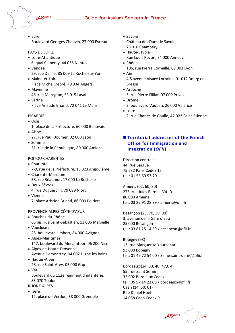- - Eure Boulevard Georges Chauvin, 27 000 Evreux

#### PAYS DE LOIRE

- Loire‐Atlantique
- 6, quai Ceineray, 44 035 Nantes Vendée
- 29, rue Dellile, 85 009 La Roche‐sur‐Yon
- Maine-et-Loire Place Michel Debré, 49 934 Angers
- Mayenne 46, rue Mazagran, 53 015 Laval
- Sarthe Place Aristide Briand, 72 041 Le Mans

#### PICARDIE

- Oise
- 1, place de la Préfecture, 60 000 Beauvais Aisne
- 27, rue Paul Doumer, 02 000 Laon
- Somme 51, rue de la République, 80 000 Amiens

#### POITOU‐CHARENTES

- Charente 7‐9, rue de la Préfecture, 16 023 Angoulême
- Charente‐Maritime 38, rue Réaumur, 17 000 La Rochelle
- Deux‐Sèvres 4, rue Duguesclin, 79 099 Niort
- Vienne 7, place Aristide Briand, 86 000 Poitiers

#### PROVENCE‐ALPES‐CÔTE‐D'AZUR

- Bouches‐du‐Rhône 66 bis, rue Saint‐Sébastien, 13 006 Marseille Vaucluse :
	- 28, boulevard Limbert, 84 000 Avignon
- Alpes‐Maritimes 147, boulevard du Mercantour, 06 200 Nice
- Alpes‐de‐Haute‐Provence Avenue Demontzey, 04 002 Digne les Bains
- Hautes-Alpes 28, rue Saint‐Arey, 05 000 Gap
- Var Boulevard du 112e régiment d'infanterie, 83 070 Toulon
- RHÔNE‐ALPES
- Isère 12, place de Verdun, 38 000 Grenoble
- Savoie Château des Ducs de Savoie, 73 018 Chambéry
- Haute-Savoie Rue Louis Revon, 74 000 Annecy
- Rhône 106, rue Pierre Corneille, 69 003 Lyon
- Ain 4,5 avenue Alsace Lorraine, 01 012 Bourg en Bresse
- Ardèche
- 5, rue Pierre Filliat, 07 000 Privas
- Drôme 3, boulevard Vauban, 26 000 Valence
- Loire 2, rue Charles de Gaulle, 42 022 Saint‐Etienne

### **Territorial addresses of the French Office for Immigration and Integration (***OFII***)**

Direction centrale 44, rue Bargue 75 732 Paris Cedex 15 tel.: 01 53 69 53 70

Amiens (02, 60, 80) 275, rue Jules Barni – Bât. D 80 000 Amiens tel.: 03 22 91 28 99 / amiens@ofii.fr

Besançon (25, 70, 39, 90) 3, avenue de la Gare d'Eau 25 000 Besançon tel.: 03 81 25 14 39 / besancon@ofii.fr

Bobigny (93) 13, rue Marguerite Yourcenar 93 000 Bobigny tel.: 01 49 72 54 00 / Seine‐saint‐denis@ofii.fr

Bordeaux (24, 33, 40, 47,6 4) 55, rue Saint Sernin, 33 002 Bordeaux Cedex tel : 05 57 14 23 00 / bordeaux@ofii.fr Caen (14, 50, 61) Rue Daniel Huet 14 038 Caen Cedex 9

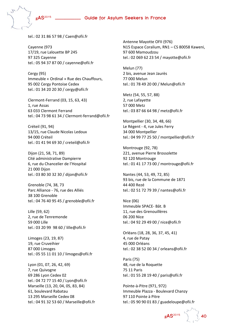

tel.: 02 31 86 57 98 / Caen@ofii.fr

Cayenne (973 17/19, rue Lalouette BP 245 97 325 Cayenne tel.: 05 94 37 87 00 / cayenne@ofii.fr

Cergy (95) Immeuble « Ordinal » Rue des Chauffours, 95 002 Cergy Pontoise Cedex tel.: 01 34 20 20 30 / cergy@ofii.fr

Clermont‐Ferrand (03, 15, 63, 43) 1, rue Assas 63 033 Clermont Ferrand tel.: 04 73 98 61 34 / Clermont‐ferrand@ofii.fr

Créteil (91, 94) 13/15, rue Claude Nicolas Ledoux 94 000 Créteil tel.: 01 41 94 69 30 / creteil@ofii.fr

Dijon (21, 58, 71, 89) Cité administrative Dampierre 6, rue du Chancelier de l'Hospital 21 000 Dijon tel.: 03 80 30 32 30 / dijon@ofii.fr

Grenoble (74, 38, 73 Parc Alliance ‐ 76, rue des Alliés 38 100 Grenoble tel.: 04 76 40 95 45 / grenoble@ofii.fr

Lille (59, 62) 2, rue de Tenremonde 59 000 Lille tel.: 03 20 99 98 60 / lille@ofii.fr

Limoges (23, 19, 87) 19, rue Cruveihier 87 000 Limoges tel.: 05 55 11 01 10 / limoges@ofii.fr

Lyon (01, 07, 26, 42, 69) 7, rue Quivogne 69 286 Lyon Cedex 02 tel.: 04 72 77 15 40 / Lyon@ofii.fr Marseille (13, 20, 04, 05, 83, 84) 61, boulevard Rabatau 13 295 Marseille Cedex 08 tel.: 04 91 32 53 60 / Marseille@ofii.fr Antenne Mayotte OFII (976) N15 Espace Coralium, RN1 – CS 80058 Kaweni, 97 600 Mamoudzou tel.: 02 069 62 23 54 / mayotte@ofii.fr

Melun (77) 2 bis, avenue Jean Jaurès 77 000 Melun tel.: 01 78 49 20 00 / Melun@ofii.fr

Metz (54, 55, 57, 88) 2, rue Lafayette 57 000 Metz tel.: 03 87 66 64 98 / metz@ofii.fr

Montpellier (30, 34, 48, 66) Le Régent ‐ 4, rue Jules Ferry 34 000 Montpellier tel.: 04 99 77 25 50 / montpellier@ofii.fr

Montrouge (92, 78) 221, avenue Pierre Brossolette 92 120 Montrouge tel.: 01 41 17 73 00 / montrouge@ofii.fr

Nantes (44, 53, 49, 72, 85) 93 bis, rue de la Commune de 1871 44 400 Rezé tel.: 02 51 72 79 39 / nantes@ofii.fr

Nice (06) Immeuble SPACE‐ Bât. B 11, rue des Grenouillères 06 200 Nice tel.: 04 92 29 49 00 / nice@ofii.fr

Orléans (18, 28, 36, 37, 45, 41) 4, rue de Patay 45 000 Orléans tel.: 02 38 52 00 34 / orleans@ofii.fr

Paris (75) 48, rue de la Roquette 75 11 Paris tel.: 01 55 28 19 40 / paris@ofii.fr

Pointe‐à‐Pitre (971, 972) Immeuble Plazza ‐ Boulevard Chanzy 97 110 Pointe à Pitre tel.: 05 90 90 01 83 / guadeloupe@ofii.fr